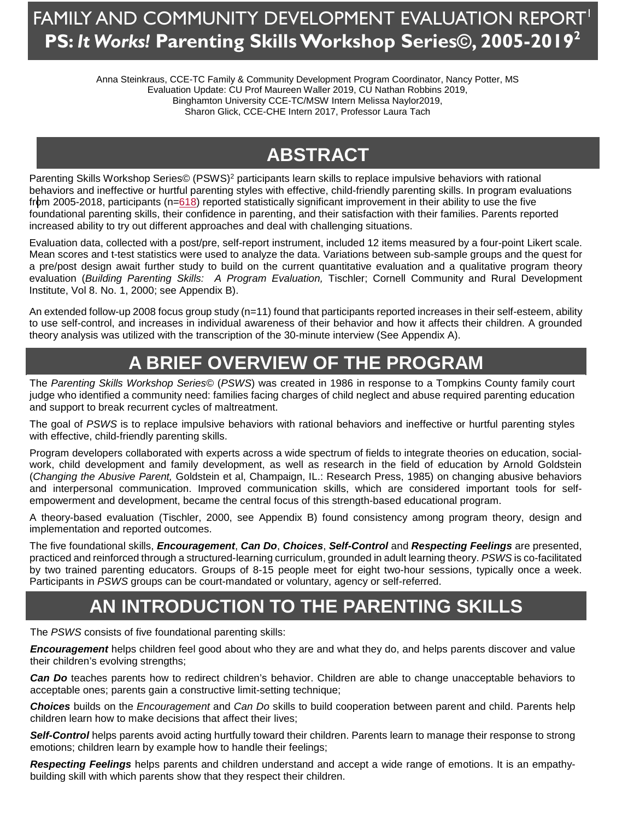## FAMILY AND COMMUNITY DEVELOPMENT EVALUATION REPORT<sup>I'</sup> **PS:** *It Works!* **Parenting Skills Workshop Series©, 2005-20192**

Anna Steinkraus, CCE-TC Family & Community Development Program Coordinator, Nancy Potter, MS Evaluation Update: CU Prof Maureen Waller 2019, CU Nathan Robbins 2019, Binghamton University CCE-TC/MSW Intern Melissa Naylor2019, Sharon Glick, CCE-CHE Intern 2017, Professor Laura Tach

# **ABSTRACT**

Parenting Skills Workshop Series© (PSWS)<sup>2</sup> participants learn skills to replace impulsive behaviors with rational behaviors and ineffective or hurtful parenting styles with effective, child-friendly parenting skills. In program evaluations from 2005-2018, participants (n=618) reported statistically significant improvement in their ability to use the five foundational parenting skills, their confidence in parenting, and their satisfaction with their families. Parents reported increased ability to try out different approaches and deal with challenging situations.

Evaluation data, collected with a post/pre, self-report instrument, included 12 items measured by a four-point Likert scale. Mean scores and t-test statistics were used to analyze the data. Variations between sub-sample groups and the quest for a pre/post design await further study to build on the current quantitative evaluation and a qualitative program theory evaluation (*Building Parenting Skills: A Program Evaluation,* Tischler; Cornell Community and Rural Development Institute, Vol 8. No. 1, 2000; see Appendix B).

An extended follow-up 2008 focus group study (n=11) found that participants reported increases in their self-esteem, ability to use self-control, and increases in individual awareness of their behavior and how it affects their children. A grounded theory analysis was utilized with the transcription of the 30-minute interview (See Appendix A).

# **A BRIEF OVERVIEW OF THE PROGRAM**

The *Parenting Skills Workshop Series©* (*PSWS*) was created in 1986 in response to a Tompkins County family court judge who identified a community need: families facing charges of child neglect and abuse required parenting education and support to break recurrent cycles of maltreatment.

The goal of *PSWS* is to replace impulsive behaviors with rational behaviors and ineffective or hurtful parenting styles with effective, child-friendly parenting skills.

Program developers collaborated with experts across a wide spectrum of fields to integrate theories on education, socialwork, child development and family development, as well as research in the field of education by Arnold Goldstein (*Changing the Abusive Parent,* Goldstein et al, Champaign, IL.: Research Press, 1985) on changing abusive behaviors and interpersonal communication. Improved communication skills, which are considered important tools for selfempowerment and development, became the central focus of this strength-based educational program.

A theory-based evaluation (Tischler, 2000, see Appendix B) found consistency among program theory, design and implementation and reported outcomes.

The five foundational skills, *Encouragement*, *Can Do*, *Choices*, *Self-Control* and *Respecting Feelings* are presented, practiced and reinforced through a structured-learning curriculum, grounded in adult learning theory. *PSWS* is co-facilitated by two trained parenting educators. Groups of 8-15 people meet for eight two-hour sessions, typically once a week. Participants in *PSWS* groups can be court-mandated or voluntary, agency or self-referred.

## **AN INTRODUCTION TO THE PARENTING SKILLS**

The *PSWS* consists of five foundational parenting skills:

*Encouragement* helps children feel good about who they are and what they do, and helps parents discover and value their children's evolving strengths;

*Can Do* teaches parents how to redirect children's behavior. Children are able to change unacceptable behaviors to acceptable ones; parents gain a constructive limit-setting technique;

*Choices* builds on the *Encouragement* and *Can Do* skills to build cooperation between parent and child. Parents help children learn how to make decisions that affect their lives;

*Self-Control* helps parents avoid acting hurtfully toward their children. Parents learn to manage their response to strong emotions; children learn by example how to handle their feelings;

*Respecting Feelings* helps parents and children understand and accept a wide range of emotions. It is an empathybuilding skill with which parents show that they respect their children.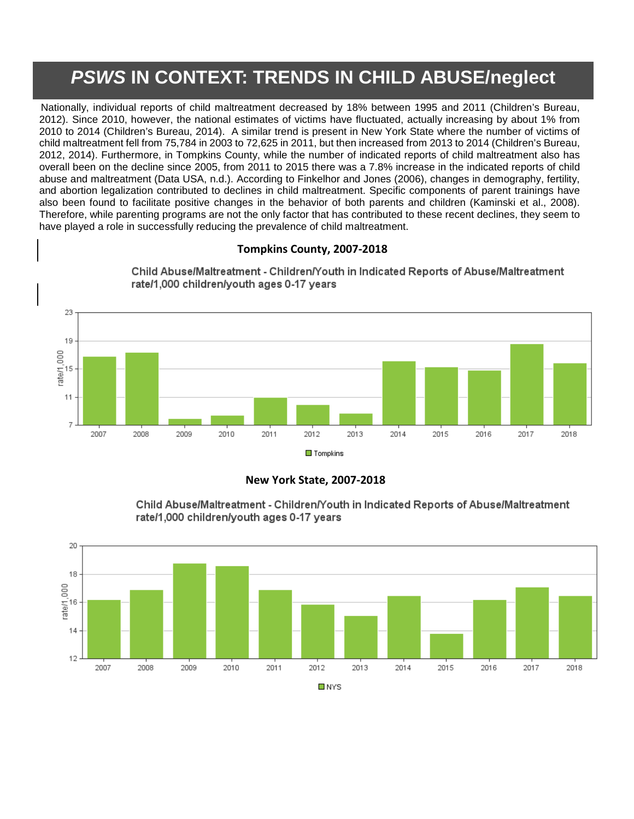## **[P](#page-8-1)SWS IN CONTEXT: TRENDS IN CHILD ABUSE/neglect**

Nationally, individual reports of child maltreatment decreased by 18% between 1995 and 2011 (Children's Bureau, 2012). Since 2010, however, the national estimates of victims have fluctuated, actually increasing by about 1% from 2010 to 2014 (Children's Bureau, 2014). A similar trend is present in New York State where the number of victims of child maltreatment fell from 75,784 in 2003 to 72,625 in 2011, but then increased from 2013 to 2014 (Children's Bureau, 2012, 2014). Furthermore, in Tompkins County, while the number of indicated reports of child maltreatment also has overall been on the decline since 2005, from 2011 to 2015 there was a 7.8% increase in the indicated reports of child abuse and maltreatment (Data USA, n.d.). According to Finkelhor and Jones (2006), changes in demography, fertility, and abortion legalization contributed to declines in child maltreatment. Specific components of parent trainings have also been found to facilitate positive changes in the behavior of both parents and children (Kaminski et al., 2008). Therefore, while parenting programs are not the only factor that has contributed to these recent declines, they seem to have played a role in successfully reducing the prevalence of child maltreatment.

### **Tompkins County, 2007-2018**



Child Abuse/Maltreatment - Children/Youth in Indicated Reports of Abuse/Maltreatment rate/1,000 children/youth ages 0-17 years

### **New York State, 2007-2018**



Child Abuse/Maltreatment - Children/Youth in Indicated Reports of Abuse/Maltreatment rate/1,000 children/youth ages 0-17 years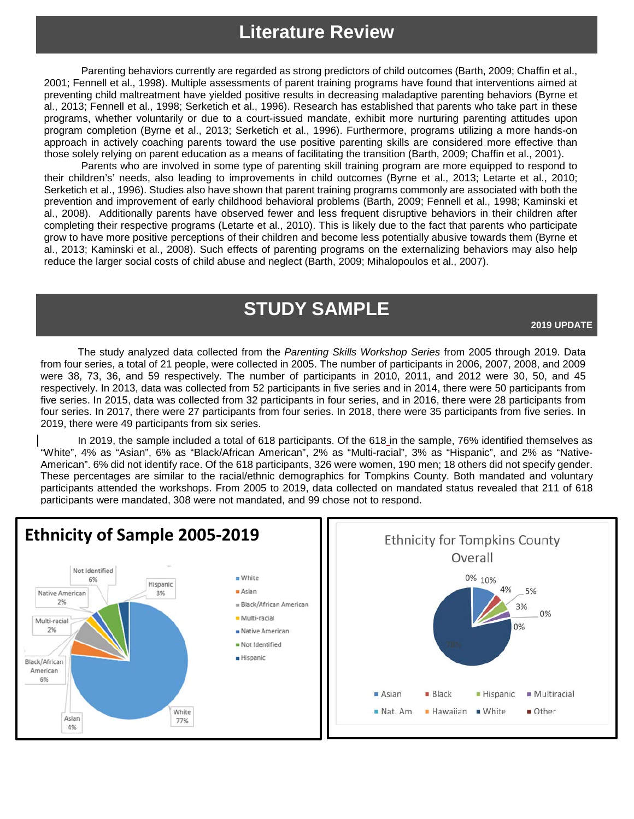## **Literature Review**

Parenting behaviors currently are regarded as strong predictors of child outcomes (Barth, 2009; Chaffin et al., 2001; Fennell et al., 1998). Multiple assessments of parent training programs have found that interventions aimed at preventing child maltreatment have yielded positive results in decreasing maladaptive parenting behaviors (Byrne et al., 2013; Fennell et al., 1998; Serketich et al., 1996). Research has established that parents who take part in these programs, whether voluntarily or due to a court-issued mandate, exhibit more nurturing parenting attitudes upon program completion (Byrne et al., 2013; Serketich et al., 1996). Furthermore, programs utilizing a more hands-on approach in actively coaching parents toward the use positive parenting skills are considered more effective than those solely relying on parent education as a means of facilitating the transition (Barth, 2009; Chaffin et al., 2001).

Parents who are involved in some type of parenting skill training program are more equipped to respond to their children's' needs, also leading to improvements in child outcomes (Byrne et al., 2013; Letarte et al., 2010; Serketich et al., 1996). Studies also have shown that parent training programs commonly are associated with both the prevention and improvement of early childhood behavioral problems (Barth, 2009; Fennell et al., 1998; Kaminski et al., 2008). Additionally parents have observed fewer and less frequent disruptive behaviors in their children after completing their respective programs (Letarte et al., 2010). This is likely due to the fact that parents who participate grow to have more positive perceptions of their children and become less potentially abusive towards them (Byrne et al., 2013; Kaminski et al., 2008). Such effects of parenting programs on the externalizing behaviors may also help reduce the larger social costs of child abuse and neglect (Barth, 2009; Mihalopoulos et al., 2007).

## **STUDY SAMPLE**

**2019 UPDATE**

The study analyzed data collected from the *Parenting Skills Workshop Series* from 2005 through 2019. Data from four series, a total of 21 people, were collected in 2005. The number of participants in 2006, 2007, 2008, and 2009 were 38, 73, 36, and 59 respectively. The number of participants in 2010, 2011, and 2012 were 30, 50, and 45 respectively. In 2013, data was collected from 52 participants in five series and in 2014, there were 50 participants from five series. In 2015, data was collected from 32 participants in four series, and in 2016, there were 28 participants from four series. In 2017, there were 27 participants from four series. In 2018, there were 35 participants from five series. In 2019, there were 49 participants from six series.

In 2019, the sample included a total of 618 participants. Of the 618 in the sample, 76% identified themselves as "White", 4% as "Asian", 6% as "Black/African American", 2% as "Multi-racial", 3% as "Hispanic", and 2% as "Native-American". 6% did not identify race. Of the 618 participants, 326 were women, 190 men; 18 others did not specify gender. These percentages are similar to the racial/ethnic demographics for Tompkins County. Both mandated and voluntary participants attended the workshops. From 2005 to 2019, data collected on mandated status revealed that 211 of 618 participants were mandated, 308 were not mandated, and 99 chose not to respond.

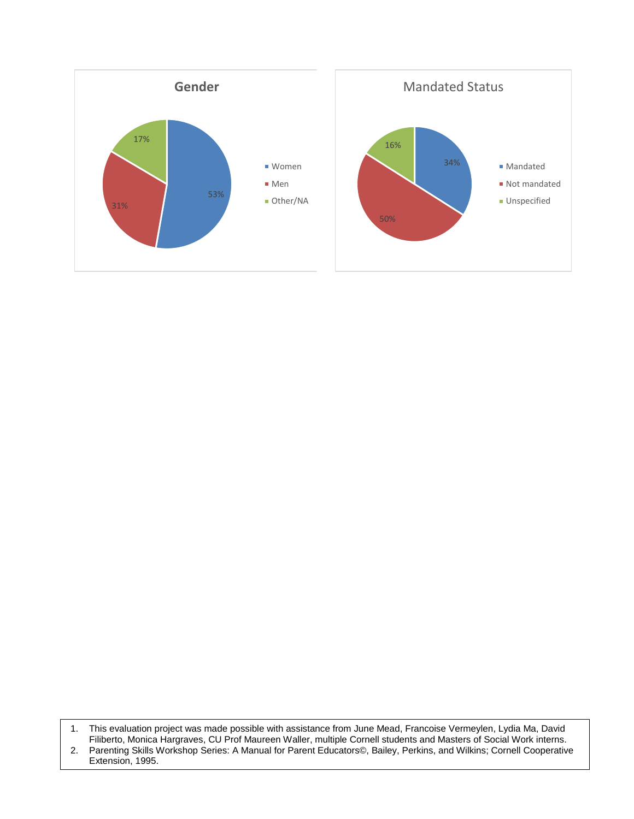

1. This evaluation project was made possible with assistance from June Mead, Francoise Vermeylen, Lydia Ma, David Filiberto, Monica Hargraves, CU Prof Maureen Waller, multiple Cornell students and Masters of Social Work interns. 2. Parenting Skills Workshop Series: A Manual for Parent Educators©, Bailey, Perkins, and Wilkins; Cornell Cooperative

Extension, 1995.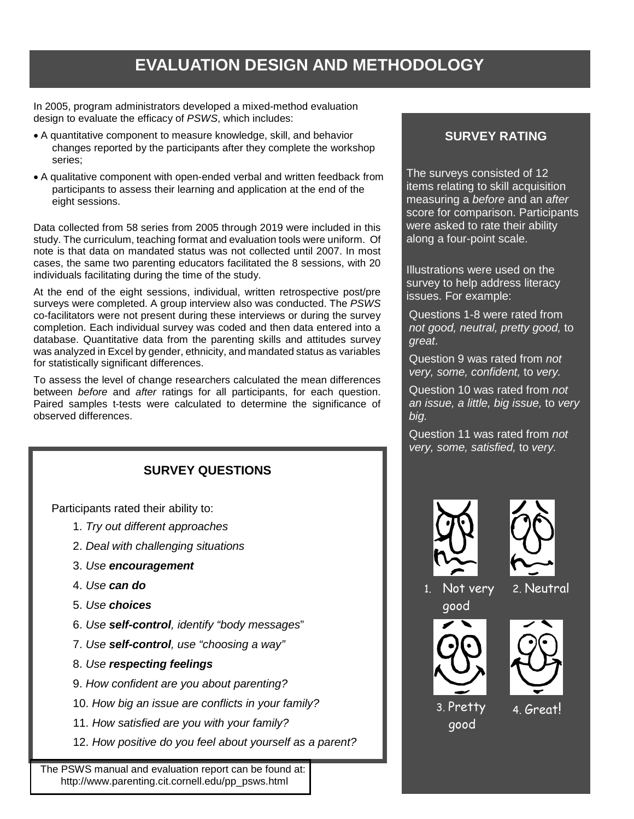## **EVALUATION DESIGN AND METHODOLOGY**

In 2005, program administrators developed a mixed-method evaluation design to evaluate the efficacy of *PSWS*, which includes:

- A quantitative component to measure knowledge, skill, and behavior changes reported by the participants after they complete the workshop series;
- A qualitative component with open-ended verbal and written feedback from participants to assess their learning and application at the end of the eight sessions.

Data collected from 58 series from 2005 through 2019 were included in this study. The curriculum, teaching format and evaluation tools were uniform. Of note is that data on mandated status was not collected until 2007. In most cases, the same two parenting educators facilitated the 8 sessions, with 20 individuals facilitating during the time of the study.

At the end of the eight sessions, individual, written retrospective post/pre surveys were completed. A group interview also was conducted. The *PSWS*  co-facilitators were not present during these interviews or during the survey completion. Each individual survey was coded and then data entered into a database. Quantitative data from the parenting skills and attitudes survey was analyzed in Excel by gender, ethnicity, and mandated status as variables for statistically significant differences.

To assess the level of change researchers calculated the mean differences between *before* and *after* ratings for all participants, for each question. Paired samples t-tests were calculated to determine the significance of observed differences.

## **SURVEY QUESTIONS**

Participants rated their ability to:

- 1. *Try out different approaches*
- 2. *Deal with challenging situations*
- 3. *Use encouragement*
- 4. *Use can do*
- 5. *Use choices*
- 6. *Use self-control, identify "body messages*"
- 7. *Use self-control, use "choosing a way"*
- 8. *Use respecting feelings*
- 9. *How confident are you about parenting?*
- 10. *How big an issue are conflicts in your family?*
- 11. *How satisfied are you with your family?*
- 12. *How positive do you feel about yourself as a parent?*

 The PSWS manual and evaluation report can be found at: http://www.parenting.cit.cornell.edu/pp\_psws.html

### **SURVEY RATING**

The surveys consisted of 12 items relating to skill acquisition measuring a *before* and an *after* score for comparison. Participants were asked to rate their ability along a four-point scale.

Illustrations were used on the survey to help address literacy issues. For example:

Questions 1-8 were rated from *not good, neutral, pretty good,* to *great*.

Question 9 was rated from *not very, some, confident,* to *very.*

Question 10 was rated from *not an issue, a little, big issue,* to *very big.*

Question 11 was rated from *not very, some, satisfied,* to *very.*





1. Not very





2. Neutral

3. Pretty good

4. Great!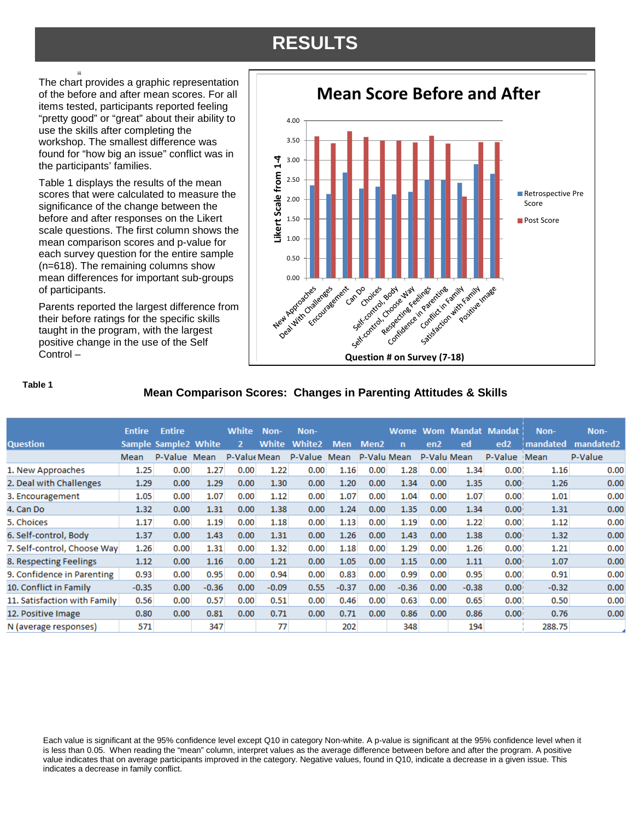## **RESULTS**

The chart provides a graphic representation of the before and after mean scores. For all items tested, participants reported feeling "pretty good" or "great" about their ability to use the skills after completing the workshop. The smallest difference was found for "how big an issue" conflict was in the participants' families.

[iii](#page-8-2)

Table 1 displays the results of the mean scores that were calculated to measure the significance of the change between the before and after responses on the Likert scale questions. The first column shows the mean comparison scores and p-value for each survey question for the entire sample (n=618). The remaining columns show mean differences for important sub-groups of participants.

Parents reported the largest difference from their before ratings for the specific skills taught in the program, with the largest positive change in the use of the Self Control –



#### **Table 1**

### **Mean Comparison Scores: Changes in Parenting Attitudes & Skills**

|                              | <b>Entire</b> | <b>Entire</b>        |         | <b>White</b> | Non-    | Non-          |            |                  | Wome Wom |                 | <b>Mandat</b> | <b>Mandat</b>     | Non-     | Non-                  |
|------------------------------|---------------|----------------------|---------|--------------|---------|---------------|------------|------------------|----------|-----------------|---------------|-------------------|----------|-----------------------|
| <b>Question</b>              |               | Sample Sample2 White |         | 2            | White   | <b>White2</b> | <b>Men</b> | Men <sub>2</sub> | n        | en <sub>2</sub> | ed            | ed <sub>2</sub>   | mandated | mandated <sub>2</sub> |
|                              | Mean          | P-Value Mean         |         | P-Value Mean |         | P-Value Mean  |            | P-Valu Mean      |          | P-Valu Mean     |               | P-Value           | Mean     | P-Value               |
| 1. New Approaches            | 1.25          | 0.00                 | 1.27    | 0.00         | 1.22    | 0.00          | 1.16       | 0.00             | 1.28     | 0.00            | 1.34          | 0.00 <sub>1</sub> | 1.16     | 0.00                  |
| 2. Deal with Challenges      | 1.29          | 0.00                 | 1.29    | 0.00         | 1.30    | 0.00          | 1.20       | 0.00             | 1.34     | 0.00            | 1.35          | 0.00              | 1.26     | 0.00                  |
| 3. Encouragement             | 1.05          | 0.00                 | 1.07    | 0.00         | 1.12    | 0.00          | 1.07       | 0.00             | 1.04     | 0.00            | 1.07          | 0.00 <sub>1</sub> | 1.01     | 0.00                  |
| 4. Can Do                    | 1.32          | 0.00 <sub>1</sub>    | 1.31    | 0.00         | 1.38    | 0.00          | 1.24       | 0.00             | 1.35     | 0.00            | 1.34          | 0.00              | 1.31     | 0.00                  |
| 5. Choices                   | 1.17          | 0.00                 | 1.19    | 0.00         | 1.18    | 0.00          | 1.13       | 0.00             | 1.19     | 0.00            | 1.22          | 0.00 <sub>1</sub> | 1.12     | 0.00                  |
| 6. Self-control, Body        | 1.37          | 0.00                 | 1.43    | 0.00         | 1.31    | 0.00          | 1.26       | 0.00             | 1.43     | 0.00            | 1.38          | 0.00              | 1.32     | 0.00                  |
| 7. Self-control, Choose Way  | 1.26          | 0.00                 | 1.31    | 0.00         | 1.32    | 0.00          | 1.18       | 0.00             | 1.29     | 0.00            | 1.26          | 0.00 <sub>1</sub> | 1.21     | 0.00                  |
| 8. Respecting Feelings       | 1.12          | 0.00                 | 1.16    | 0.00         | 1.21    | 0.00          | 1.05       | 0.00             | 1.15     | 0.00            | 1.11          | 0.00              | 1.07     | 0.00                  |
| 9. Confidence in Parenting   | 0.93          | 0.00                 | 0.95    | 0.00         | 0.94    | 0.00          | 0.83       | 0.00             | 0.99     | 0.00            | 0.95          | 0.00 <sub>1</sub> | 0.91     | 0.00                  |
| 10. Conflict in Family       | $-0.35$       | 0.00                 | $-0.36$ | 0.00         | $-0.09$ | 0.55          | $-0.37$    | 0.00             | $-0.36$  | 0.00            | $-0.38$       | 0.00              | $-0.32$  | 0.00                  |
| 11. Satisfaction with Family | 0.56          | 0.00                 | 0.57    | 0.00         | 0.51    | 0.00          | 0.46       | 0.00             | 0.63     | 0.00            | 0.65          | 0.00 <sub>1</sub> | 0.50     | 0.00                  |
| 12. Positive Image           | 0.80          | 0.00                 | 0.81    | 0.00         | 0.71    | 0.00          | 0.71       | 0.00             | 0.86     | 0.00            | 0.86          | 0.00              | 0.76     | 0.00                  |
| N (average responses)        | 571           |                      | 347     |              | 77      |               | 202        |                  | 348      |                 | 194           |                   | 288.75   |                       |

Each value is significant at the 95% confidence level except Q10 in category Non-white. A p-value is significant at the 95% confidence level when it is less than 0.05. When reading the "mean" column, interpret values as the average difference between before and after the program. A positive value indicates that on average participants improved in the category. Negative values, found in Q10, indicate a decrease in a given issue. This indicates a decrease in family conflict.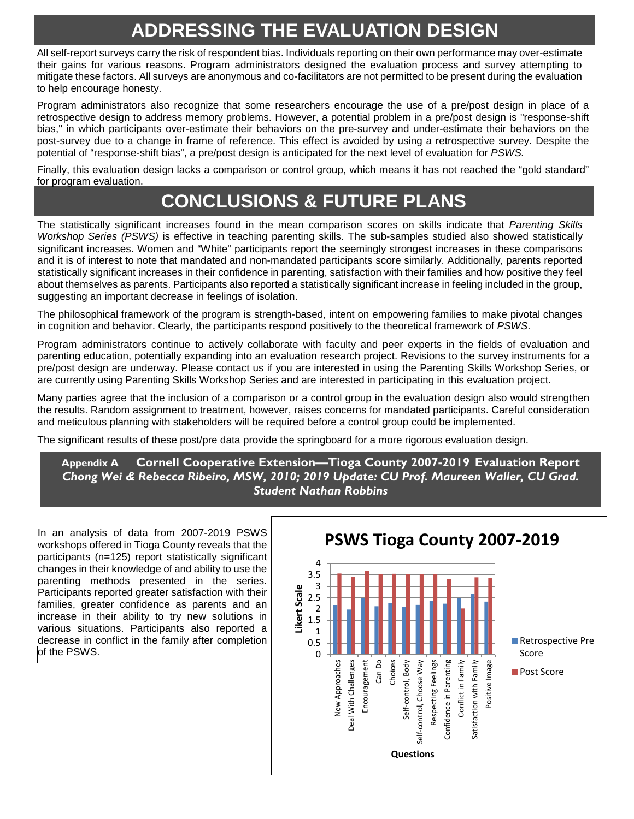## **ADDRESSING THE EVALUATION DESIGN**

All self-report surveys carry the risk of respondent bias. Individuals reporting on their own performance may over-estimate their gains for various reasons. Program administrators designed the evaluation process and survey attempting to mitigate these factors. All surveys are anonymous and co-facilitators are not permitted to be present during the evaluation to help encourage honesty.

Program administrators also recognize that some researchers encourage the use of a pre/post design in place of a retrospective design to address memory problems. However, a potential problem in a pre/post design is "response-shift bias," in which participants over-estimate their behaviors on the pre-survey and under-estimate their behaviors on the post-survey due to a change in frame of reference. This effect is avoided by using a retrospective survey. Despite the potential of "response-shift bias", a pre/post design is anticipated for the next level of evaluation for *PSWS.*

Finally, this evaluation design lacks a comparison or control group, which means it has not reached the "gold standard" for program evaluation.

# **CONCLUSIONS & FUTURE PLANS**

The statistically significant increases found in the mean comparison scores on skills indicate that *Parenting Skills Workshop Series (PSWS)* is effective in teaching parenting skills. The sub-samples studied also showed statistically significant increases. Women and "White" participants report the seemingly strongest increases in these comparisons and it is of interest to note that mandated and non-mandated participants score similarly. Additionally, parents reported statistically significant increases in their confidence in parenting, satisfaction with their families and how positive they feel about themselves as parents. Participants also reported a statistically significant increase in feeling included in the group, suggesting an important decrease in feelings of isolation.

The philosophical framework of the program is strength-based, intent on empowering families to make pivotal changes in cognition and behavior. Clearly, the participants respond positively to the theoretical framework of *PSWS*.

Program administrators continue to actively collaborate with faculty and peer experts in the fields of evaluation and parenting education, potentially expanding into an evaluation research project. Revisions to the survey instruments for a pre/post design are underway. Please contact us if you are interested in using the Parenting Skills Workshop Series, or are currently using Parenting Skills Workshop Series and are interested in participating in this evaluation project.

Many parties agree that the inclusion of a comparison or a control group in the evaluation design also would strengthen the results. Random assignment to treatment, however, raises concerns for mandated participants. Careful consideration and meticulous planning with stakeholders will be required before a control group could be implemented.

The significant results of these post/pre data provide the springboard for a more rigorous evaluation design.

### **Appendix A Cornell Cooperative Extension—Tioga County 2007-2019 Evaluation Report** *Chong Wei & Rebecca Ribeiro, MSW, 2010; 2019 Update: CU Prof. Maureen Waller, CU Grad. Student Nathan Robbins*

In an analysis of data from 2007-2019 PSWS workshops offered in Tioga County reveals that the participants (n=125) report statistically significant changes in their knowledge of and ability to use the parenting methods presented in the series. Participants reported greater satisfaction with their families, greater confidence as parents and an increase in their ability to try new solutions in various situations. Participants also reported a decrease in conflict in the family after completion of the PSWS.  $\begin{array}{ccc} \hline \text{ } & \text{ } & \text{ } \\ \hline \end{array}$ 

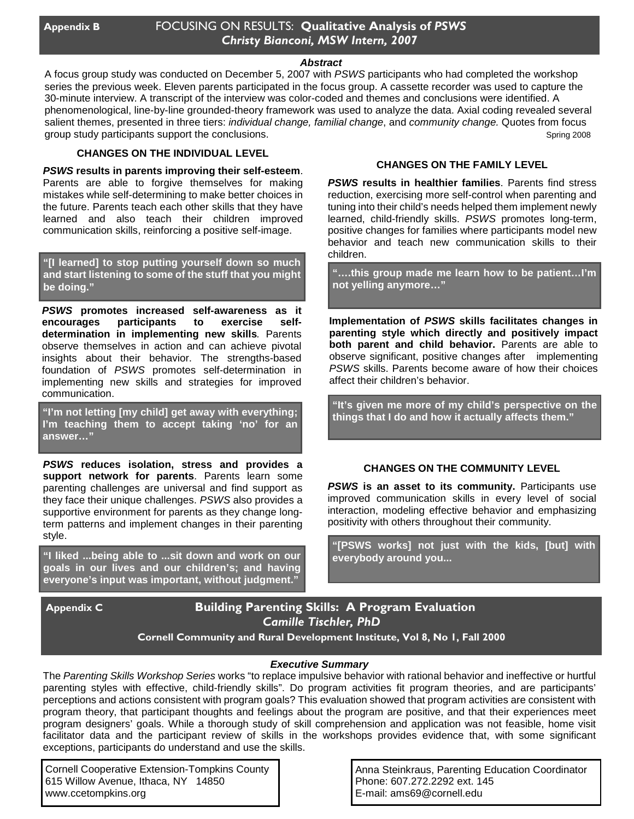### *Abstract*

A focus group study was conducted on December 5, 2007 with *PSWS* participants who had completed the workshop series the previous week. Eleven parents participated in the focus group. A cassette recorder was used to capture the 30-minute interview. A transcript of the interview was color-coded and themes and conclusions were identified. A phenomenological, line-by-line grounded-theory framework was used to analyze the data. Axial coding revealed several salient themes, presented in three tiers: *individual change, familial change*, and *community change.* Quotes from focus group study participants support the conclusions. Spring 2008

### **CHANGES ON THE INDIVIDUAL LEVEL**

*PSWS* **results in parents improving their self-esteem**. Parents are able to forgive themselves for making mistakes while self-determining to make better choices in the future. Parents teach each other skills that they have learned and also teach their children improved communication skills, reinforcing a positive self-image.

**"[I learned] to stop putting yourself down so much and start listening to some of the stuff that you might be doing."**

*PSWS* **promotes increased self-awareness as it encourages participants to exercise selfdetermination in implementing new skills***.* Parents observe themselves in action and can achieve pivotal insights about their behavior. The strengths-based foundation of *PSWS* promotes self-determination in implementing new skills and strategies for improved communication.

**"I'm not letting [my child] get away with everything; I'm teaching them to accept taking 'no' for an answer…"**

*PSWS* **reduces isolation, stress and provides a support network for parents**. Parents learn some parenting challenges are universal and find support as they face their unique challenges. *PSWS* also provides a supportive environment for parents as they change longterm patterns and implement changes in their parenting style.

**"I liked ...being able to ...sit down and work on our goals in our lives and our children's; and having everyone's input was important, without judgment."**

### **CHANGES ON THE FAMILY LEVEL**

*PSWS* **results in healthier families**. Parents find stress reduction, exercising more self-control when parenting and tuning into their child's needs helped them implement newly learned, child-friendly skills. *PSWS* promotes long-term, positive changes for families where participants model new behavior and teach new communication skills to their children.

**"….this group made me learn how to be patient…I'm not yelling anymore…"**

**Implementation of** *PSWS* **skills facilitates changes in parenting style which directly and positively impact both parent and child behavior.** Parents are able to observe significant, positive changes after implementing *PSWS* skills. Parents become aware of how their choices affect their children's behavior.

**"It's given me more of my child's perspective on the things that I do and how it actually affects them."**

#### **CHANGES ON THE COMMUNITY LEVEL**

**PSWS** is an asset to its community. Participants use improved communication skills in every level of social interaction, modeling effective behavior and emphasizing positivity with others throughout their community.

**"[PSWS works] not just with the kids, [but] with everybody around you...**

### **Appendix C Building Parenting Skills: A Program Evaluation** *Camille Tischler, PhD*

**Cornell Community and Rural Development Institute, Vol 8, No 1, Fall 2000**

#### *Executive Summary*

The *Parenting Skills Workshop Series* works "to replace impulsive behavior with rational behavior and ineffective or hurtful parenting styles with effective, child-friendly skills". Do program activities fit program theories, and are participants' perceptions and actions consistent with program goals? This evaluation showed that program activities are consistent with program theory, that participant thoughts and feelings about the program are positive, and that their experiences meet program designers' goals. While a thorough study of skill comprehension and application was not feasible, home visit facilitator data and the participant review of skills in the workshops provides evidence that, with some significant exceptions, participants do understand and use the skills.

Cornell Cooperative Extension-Tompkins County 615 Willow Avenue, Ithaca, NY 14850 www.ccetompkins.org

Anna Steinkraus, Parenting Education Coordinator Phone: 607.272.2292 ext. 145 E-mail: ams69@cornell.edu